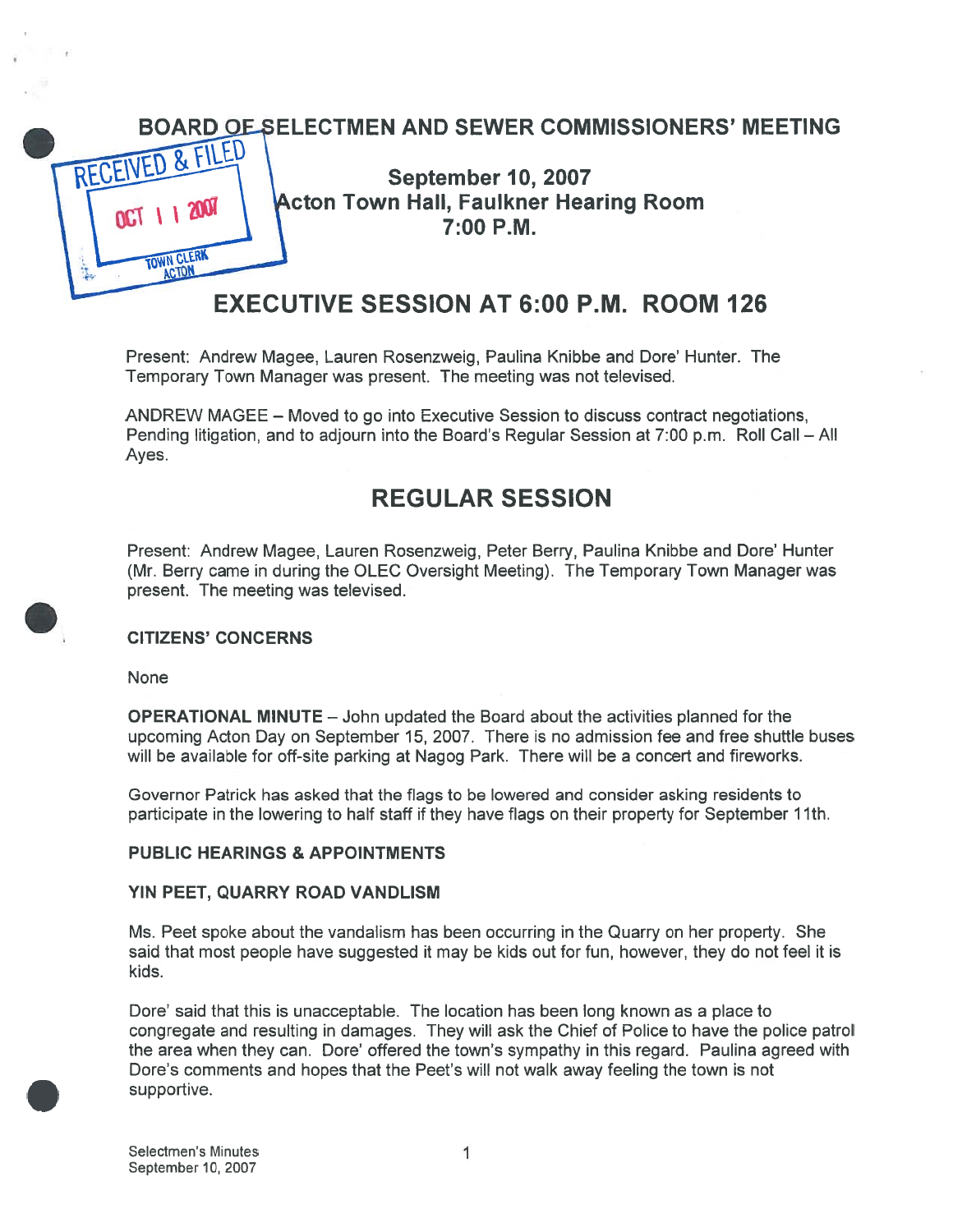

Present: Andrew Magee, Lauren Rosenzweig, Paulina Knibbe and Dote' Hunter. The Temporary Town Manager was present. The meeting was not televised.

ANDREW MAGEE — Moved to go into Executive Session to discuss contract negotiations, Pending litigation, and to adjourn into the Board's Regular Session at 7:00 p.m. Roll Call — All Ayes.

# REGULAR SESSION

Present: Andrew Magee, Lauren Rosenzweig, Peter Berry, Paulina Knibbe and Dote' Hunter (Mr. Berry came in during the OLEC Oversight Meeting). The Temporary Town Manager was present. The meeting was televised.

### CITIZENS' CONCERNS

None

OPERATIONAL MINUTE — John updated the Board about the activities planned for the upcoming Acton Day on September 15, 2007. There is no admission fee and free shuttle buses will be available for off-site parking at Nagog Park. There will be <sup>a</sup> concert and fireworks.

Governor Patrick has asked that the flags to be lowered and consider asking residents to participate in the lowering to half staff if they have flags on their property for September 11th.

#### PUBLIC HEARINGS & APPOINTMENTS

#### YIN PEET, QUARRY ROAD VANDLISM

Ms. Peet spoke about the vandalism has been occurring in the Quarry on her property. She said that most people have suggested it may be kids out for fun, however, they do not feel it is kids.

Dote' said that this is unacceptable. The location has been long known as <sup>a</sup> place to congregate and resulting in damages. They will ask the Chief of Police to have the police patrol the area when they can. Dore' offered the town's sympathy in this regard. Paulina agreed with Dote's comments and hopes that the Peet's will not walk away feeling the town is not supportive.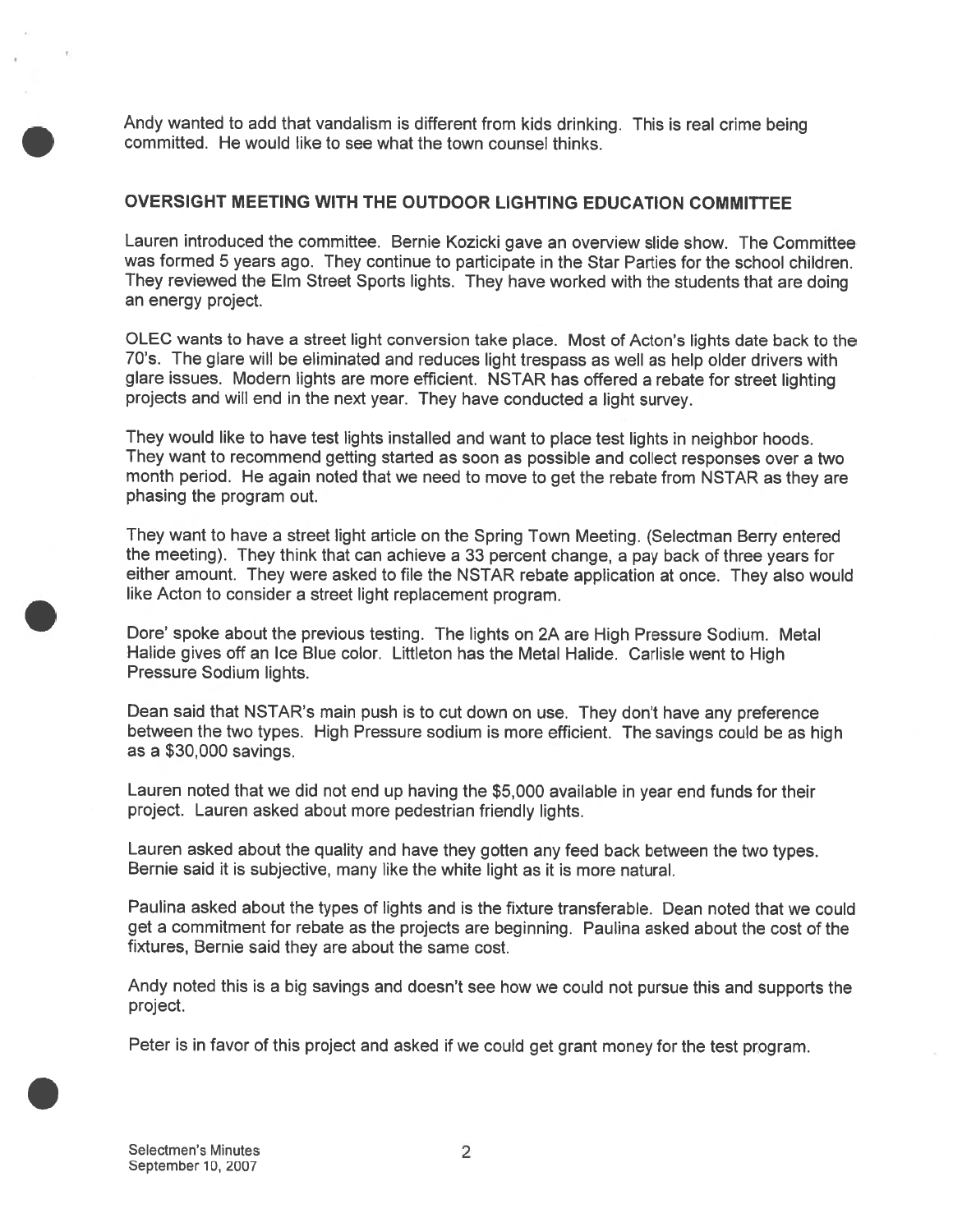Andy wanted to add that vandalism is different from kids drinking. This is real crime being committed. He would like to see what the town counsel thinks.

#### OVERSIGHT MEETING WITH THE OUTDOOR LIGHTING EDUCATION COMMITTEE

Lauren introduced the committee. Bernie Kozicki gave an overview slide show. The Committee was formed 5 years ago. They continue to participate in the Star Parties for the school children. They reviewed the Elm Street Sports lights. They have worked with the students that are doing an energy project.

OLEC wants to have <sup>a</sup> street light conversion take <sup>p</sup>lace. Most of Acton's lights date back to the 70's. The <sup>g</sup>lare will be eliminated and reduces light trespass as well as help older drivers with <sup>g</sup>lare issues. Modern lights are more efficient. NSTAR has offered <sup>a</sup> rebate for street lighting projects and will end in the next year. They have conducted <sup>a</sup> light survey.

They would like to have test lights installed and want to <sup>p</sup>lace test lights in neighbor hoods. They want to recommend getting started as soon as possible and collect responses over <sup>a</sup> two month period. He again noted that we need to move to ge<sup>t</sup> the rebate from NSTAR as they are phasing the program out.

They want to have <sup>a</sup> street light article on the Spring Town Meeting. (Selectman Berry entered the meeting). They think that can achieve <sup>a</sup> <sup>33</sup> percen<sup>t</sup> change, <sup>a</sup> pay back of three years for either amount. They were asked to file the NSTAR rebate application at once. They also would like Acton to consider <sup>a</sup> street light replacement program.

Dore' spoke about the previous testing. The lights on 2A are High Pressure Sodium. Metal Halide <sup>g</sup>ives off an Ice Blue color. Littleton has the Metal Halide. Carlisle went to High Pressure Sodium lights.

Dean said that NSTAR's main pus<sup>h</sup> is to cut down on use. They don't have any preference between the two types. High Pressure sodium is more efficient. The savings could be as high as <sup>a</sup> \$30,000 savings.

Lauren noted that we did not end up having the \$5,000 available in year end funds for their project. Lauren asked about more pedestrian friendly lights.

Lauren asked about the quality and have they gotten any feed back between the two types. Bernie said it is subjective, many like the white light as it is more natural.

Paulina asked about the types of lights and is the fixture transferable. Dean noted that we could ge<sup>t</sup> <sup>a</sup> commitment for rebate as the projects are beginning. Paulina asked about the cost of the fixtures, Bernie said they are about the same cost.

Andy noted this is <sup>a</sup> big savings and doesn't see how we could not pursue this and supports the project.

Peter is in favor of this project and asked if we could ge<sup>t</sup> gran<sup>t</sup> money for the test program.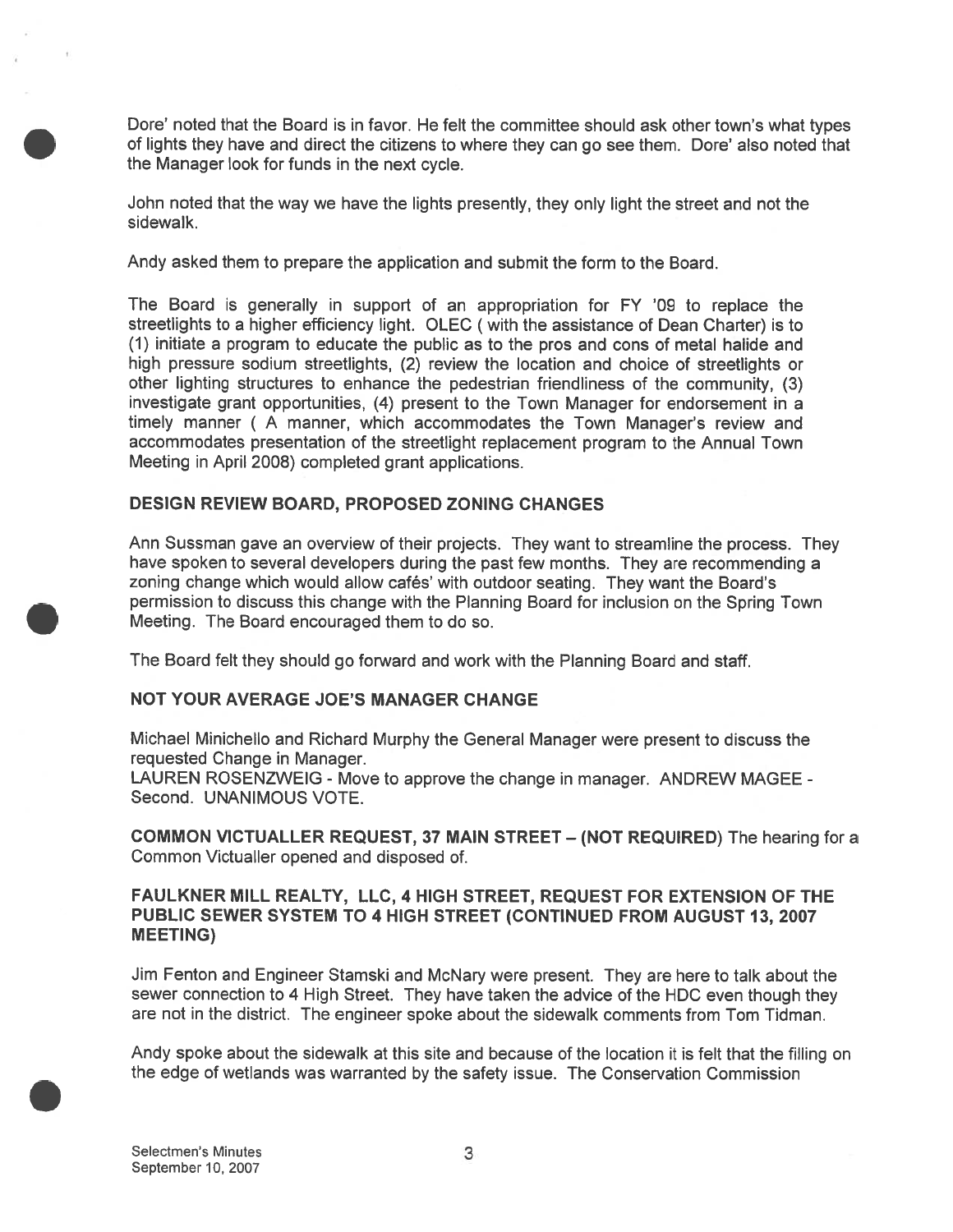Dore' noted that the Board is in favor. He felt the committee should ask other town's what types of lights they have and direct the citizens to where they can go see them. Dote' also noted that the Manager look for funds in the next cycle.

John noted that the way we have the lights presently, they only light the street and not the sidewalk.

Andy asked them to prepare the application and submit the form to the Board.

The Board is generally in suppor<sup>t</sup> of an appropriation for FY '09 to replace the streetlights to <sup>a</sup> higher efficiency light. OLEC (with the assistance of Dean Charter) is to (1) initiate <sup>a</sup> program to educate the public as to the pros and cons of metal halide and high pressure sodium streetlights, (2) review the location and choice of streetlights or other lighting structures to enhance the pedestrian friendliness of the community, (3) investigate gran<sup>t</sup> opportunities, (4) presen<sup>t</sup> to the Town Manager for endorsement in <sup>a</sup> accommodates presentation of the streetlight replacement program to the Annual Town Meeting in April 2008) completed gran<sup>t</sup> applications.

### DESIGN REVIEW BOARD, PROPOSED ZONING CHANGES

Ann Sussman gave an overview of their projects. They want to streamline the process. They have spoken to several developers during the pas<sup>t</sup> few months. They are recommending <sup>a</sup> zoning change which would allow cafés' with outdoor seating. They want the Board's permission to discuss this change with the Planning Board for inclusion on the Spring Town Meeting. The Board encouraged them to do so.

The Board felt they should go forward and work with the Planning Board and staff.

#### NOT YOUR AVERAGE JOE'S MANAGER CHANGE

Michael Minichello and Richard Murphy the General Manager were presen<sup>t</sup> to discuss the requested Change in Manager.

LAUREN ROSENZWEIG - Move to approve the change in manager. ANDREW MAGEE - Second. UNANIMOUS VOTE.

COMMON VICTUALLER REQUEST, 37 MAIN STREET — (NOT REQUIRED) The hearing for <sup>a</sup> Common Victualler opened and disposed of.

FAULKNER MILL REALTY, LLC, 4 HIGH STREET, REQUEST FOR EXTENSION OF THE PUBLIC SEWER SYSTEM TO 4 HIGH STREET (CONTINUED FROM AUGUST 13, 2007 MEETING)

Jim Fenton and Engineer Stamski and McNary were present. They are here to talk about the sewer connection to <sup>4</sup> High Street. They have taken the advice of the HDC even though they are not in the district. The engineer spoke about the sidewalk comments from Tom Tidman.

Andy spoke about the sidewalk at this site and because of the location it is felt that the filling on the edge of wetlands was warranted by the safety issue. The Conservation Commission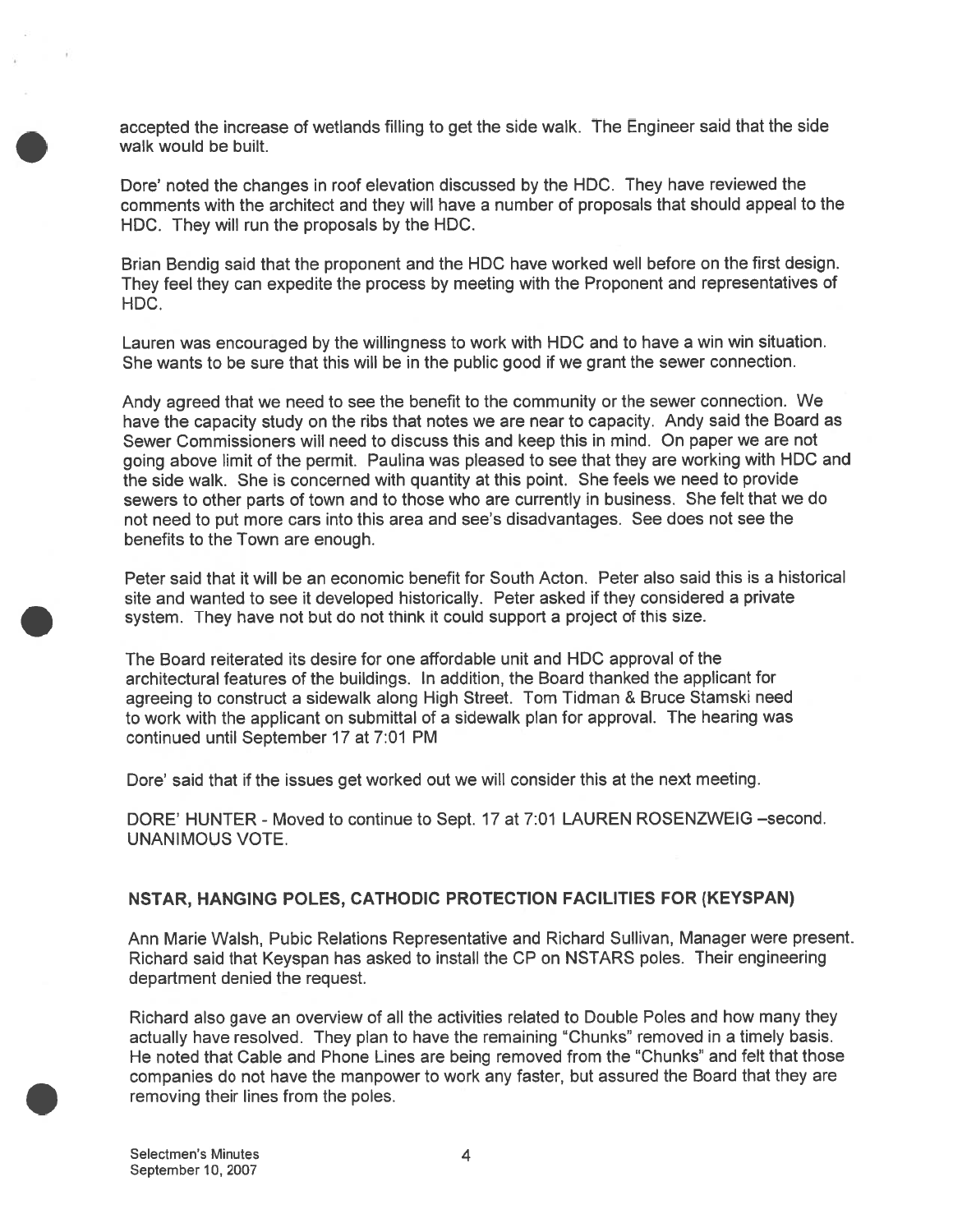accepted the increase of wetlands filling to ge<sup>t</sup> the side walk. The Engineer said that the side walk would be built.

Dore' noted the changes in roof elevation discussed by the HDC. They have reviewed the comments with the architect and they will have <sup>a</sup> number of proposals that should appeal to the HDC. They will run the proposals by the HDC.

Brian Bendig said that the proponen<sup>t</sup> and the HDC have worked well before on the first design. They feel they can expedite the process by meeting with the Proponent and representatives of HDC.

Lauren was encouraged by the willingness to work with HDC and to have <sup>a</sup> win win situation. She wants to be sure that this will be in the public good if we gran<sup>t</sup> the sewer connection.

Andy agreed that we need to see the benefit to the community or the sewer connection. We have the capacity study on the ribs that notes we are near to capacity. Andy said the Board as Sewer Commissioners will need to discuss this and keep this in mind. On paper we are not going above limit of the permit. Paulina was <sup>p</sup>leased to see that they are working with HDC and the side walk. She is concerned with quantity at this point. She feels we need to provide sewers to other parts of town and to those who are currently in business. She felt that we do not need to pu<sup>t</sup> more cars into this area and see's disadvantages. See does not see the benefits to the Town are enough.

Peter said that it will be an economic benefit for South Acton. Peter also said this is <sup>a</sup> historical site and wanted to see it developed historically. Peter asked if they considered <sup>a</sup> private system. They have not but do not think it could suppor<sup>t</sup> <sup>a</sup> project of this size.

The Board reiterated its desire for one affordable unit and HDC approval of the architectural features of the buildings. ln addition, the Board thanked the applicant for agreeing to construct <sup>a</sup> sidewalk along High Street. Tom Tidman & Bruce Stamski need to work with the applicant on submittal of <sup>a</sup> sidewalk plan for approval. The hearing was continued until September 17 at 7:01 PM

Dore' said that if the issues ge<sup>t</sup> worked out we will consider this at the next meeting.

DORE' HUNTER - Moved to continue to Sept. 17 at 7:01 LAUREN ROSENZWEIG —second. UNANIMOUS VOTE.

#### NSTAR, HANGING POLES, CATHODIC PROTECTION FACILITIES FOR (KEYSPAN)

Ann Marie Walsh, Pubic Relations Representative and Richard Sullivan, Manager were present. Richard said that Keyspan has asked to install the CP on NSTARS poles. Their engineering department denied the request.

Richard also gave an overview of all the activities related to Double Poles and how many they actually have resolved. They <sup>p</sup>lan to have the remaining 'Chunks" removed in <sup>a</sup> timely basis. He noted that Cable and Phone Lines are being removed from the 'Chunks" and felt that those companies do not have the manpower to work any faster, but assured the Board that they are removing their lines from the poles.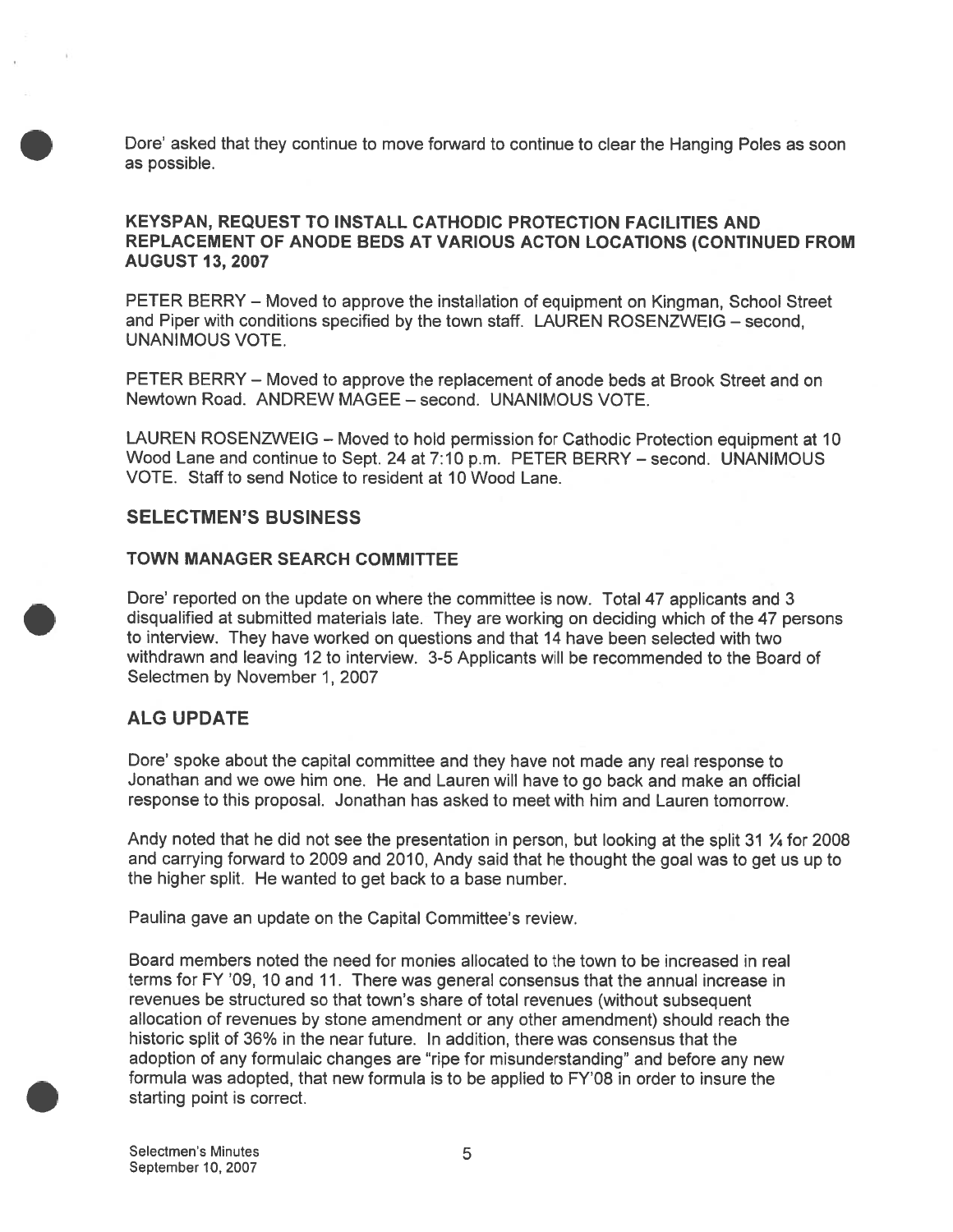Dote' asked that they continue to move forward to continue to cleat the Hanging Poles as soon as possible.

### KEYSPAN, REQUEST TO INSTALL CATHODIC PROTECTION FACILITIES AND REPLACEMENT OF ANODE BEDS AT VARIOUS ACTON LOCATIONS (CONTINUED FROM AUGUST 13, 2007

PETER BERRY — Moved to approve the installation of equipment on Kingman, School Street and Piper with conditions specified by the town staff. LAUREN ROSENZWEIG — second, UNANIMOUS VOTE.

PETER BERRY — Moved to approve the replacement of anode beds at Brook Street and on Newtown Road. ANDREW MAGEE — second. UNANIMOUS VOTE.

LAUREN ROSENZWEIG — Moved to hold permission for Cathodic Protection equipment at 10 Wood Lane and continue to Sept. 24 at 7:10 p.m. PETER BERRY — second. UNANIMOUS VOTE. Staff to send Notice to resident at 10 Wood Lane.

### SELECTMEN'S BUSINESS

#### TOWN MANAGER SEARCH COMMITTEE

Dote' reported on the update on where the committee is now. Total 47 applicants and 3 disqualified at submitted materials late. They are working on deciding which of the 47 persons to interview. They have worked on questions and that 14 have been selected with two withdrawn and leaving 12 to interview. 3-5 Applicants will be recommended to the Board of Selectmen by November 1, 2007

### ALG UPDATE

Dore' spoke about the capital committee and they have not made any real response to Jonathan and we owe him one. He and Lauren will have to go back and make an official response to this proposal. Jonathan has asked to meet with him and Lauren tomorrow.

Andy noted that he did not see the presentation in person, but looking at the split 31 % for 2008 and carrying forward to 2009 and 2010, Andy said that he thought the goa<sup>l</sup> was to ge<sup>t</sup> us up to the higher split. He wanted to ge<sup>t</sup> back to <sup>a</sup> base number.

Paulina gave an update on the Capital Committee's review.

Board members noted the need for monies allocated to the town to be increased in real terms for FY '09, 10 and 11. There was general consensus that the annual increase in revenues be structured so that town's share of total revenues (without subsequent allocation of revenues by stone amendment or any other amendment) should reach the historic split of 36% in the near future. In addition, there was consensus that the adoption of any formulaic changes are 'ripe for misunderstanding" and before any new formula was adopted, that new formula is to be applied to FY'08 in order to insure the starting point is correct.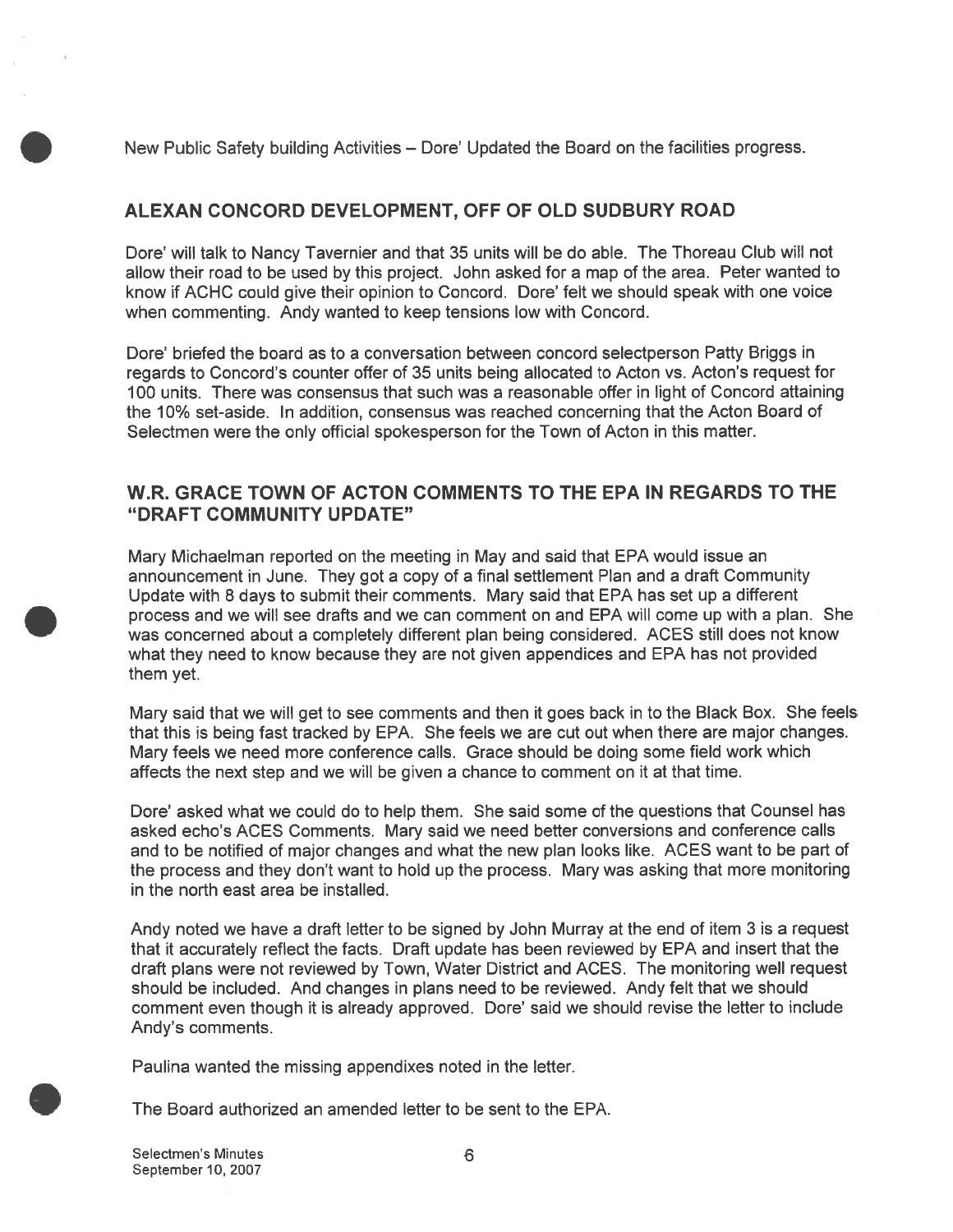New Public Safety building Activities — Dore' Updated the Board on the facilities progress.

# ALEXAN CONCORD DEVELOPMENT, OFF OF OLD SUDBURY ROAD

Dore' will talk to Nancy Tavernier and that 35 units will be do able. The Thoreau Club will not allow their road to be used by this project. John asked for <sup>a</sup> map of the area. Peter wanted to know if ACHC could give their opinion to Concord. Dore' felt we should speak with one voice when commenting. Andy wanted to keep tensions low with Concord.

Dore' briefed the board as to <sup>a</sup> conversation between concord selectperson Patty Briggs in regards to Concord's counter offer of 35 units being allocated to Acton vs. Acton's reques<sup>t</sup> for 100 units. There was consensus that such was <sup>a</sup> reasonable offer in light of Concord attaining the 10% set-aside. In addition, consensus was reached concerning that the Acton Board of Selectmen were the only official spokesperson for the Town of Acton in this matter.

### W.R. GRACE TOWN OF ACTON COMMENTS TO THE EPA IN REGARDS TO THE "DRAFT COMMUNITY UPDATE"

Mary Michaelman reported on the meeting in May and said that EPA would issue an announcement in June. They go<sup>t</sup> <sup>a</sup> copy of <sup>a</sup> final settlement Plan and <sup>a</sup> draft Community Update with 8 days to submit their comments. Mary said that EPA has set up <sup>a</sup> different process and we will see drafts and we can comment on and EPA will come up with <sup>a</sup> plan. She was concerned about <sup>a</sup> completely different plan being considered. ACES still does not know what they need to know because they are not given appendices and EPA has not provided them yet.

Mary said that we will ge<sup>t</sup> to see comments and then it goes back in to the Black Box. She feels that this is being fast tracked by EPA. She feels we are cut out when there are major changes. Mary feels we need more conference calls. Grace should be doing some field work which affects the next step and we will be given <sup>a</sup> chance to comment on it at that time.

Dore' asked what we could do to help them. She said some of the questions that Counsel has asked echo's ACES Comments. Mary said we need better conversions and conference calls and to be notified of major changes and what the new plan looks like. ACES want to be par<sup>t</sup> of the process and they don't want to hold up the process. Mary was asking that more monitoring in the north east area be installed.

Andy noted we have <sup>a</sup> draft letter to be signed by John Murray at the end of item 3 is <sup>a</sup> reques<sup>t</sup> that it accurately reflect the facts. Draft update has been reviewed by EPA and insert that the draft plans were not reviewed by Town, Water District and ACES. The monitoring well reques<sup>t</sup> should be included. And changes in plans need to be reviewed. Andy felt that we should comment even though it is already approved. Dore' said we should revise the letter to include Andy's comments.

Paulina wanted the missing appendixes noted in the letter.

The Board authorized an amended letter to be sent to the EPA.

Selectmen's Minutes 6 September 10, 2007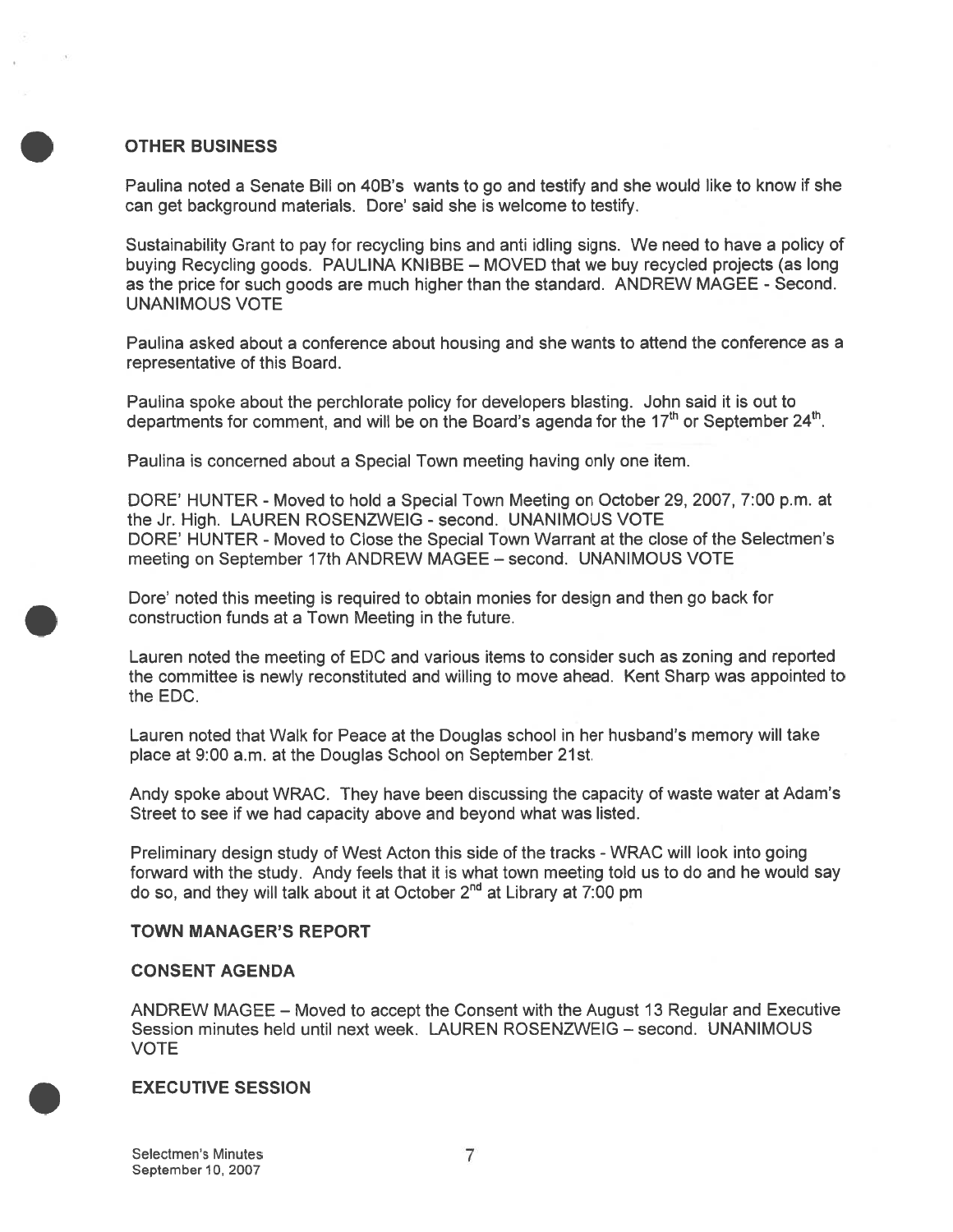### OTHER BUSINESS

Paulina noted a Senate Bill on 40B's wants to go and testify and she would like to know if she can ge<sup>t</sup> background materials. Dore' said she is welcome to testify.

Sustainability Grant to pay for recycling bins and anti idling signs. We need to have <sup>a</sup> policy of buying Recycling goods. PAULINA KNIBBE — MOVED that we buy recycled projects (as long as the price for such goods are much higher than the standard. ANDREW MAGEE - Second. UNANIMOUS VOTE

Paulina asked about <sup>a</sup> conference about housing and she wants to attend the conference as <sup>a</sup> representative of this Board.

Paulina spoke about the perchlorate policy for developers blasting. John said it is out to departments for comment, and will be on the Board's agenda for the 17<sup>th</sup> or September 24<sup>th</sup>.

Paulina is concerned about <sup>a</sup> Special Town meeting having only one item.

DORE' HUNTER - Moved to hold <sup>a</sup> Special Town Meeting on October 29, 2007, 7:00 p.m. at the Jr. High. LAUREN ROSENZWEIG - second. UNANIMOUS VOTE DORE' HUNTER - Moved to Close the Special Town Warrant at the close of the Selectmen's meeting on September 17th ANDREW MAGEE — second. UNANIMOUS VOTE

Dore' noted this meeting is required to obtain monies for design and then go back for construction funds at <sup>a</sup> Town Meeting in the future.

Lauren noted the meeting of EDC and various items to consider such as zoning and reported the committee is newly reconstituted and willing to move ahead. Kent Sharp was appointed to the EDC.

Lauren noted that Walk for Peace at the Douglas school in her husband's memory will take place at 9:00 am, at the Douglas School on September 21st.

Andy spoke about WRAC. They have been discussing the capacity of waste water at Adam's Street to see if we had capacity above and beyond what was listed.

Preliminary design study of West Acton this side of the tracks - WRAC will look into going forward with the study. Andy feels that it is what town meeting told us to do and he would say do so, and they will talk about it at October  $2<sup>nd</sup>$  at Library at 7:00 pm

#### TOWN MANAGER'S REPORT

#### CONSENT AGENDA

ANDREW MAGEE — Moved to accep<sup>t</sup> the Consent with the August 13 Regular and Executive Session minutes held until next week. LAUREN ROSENZWEIG — second. UNANIMOUS VOTE

#### EXECUTIVE SESSION

Selectmen's Minutes 7 September 10, 2007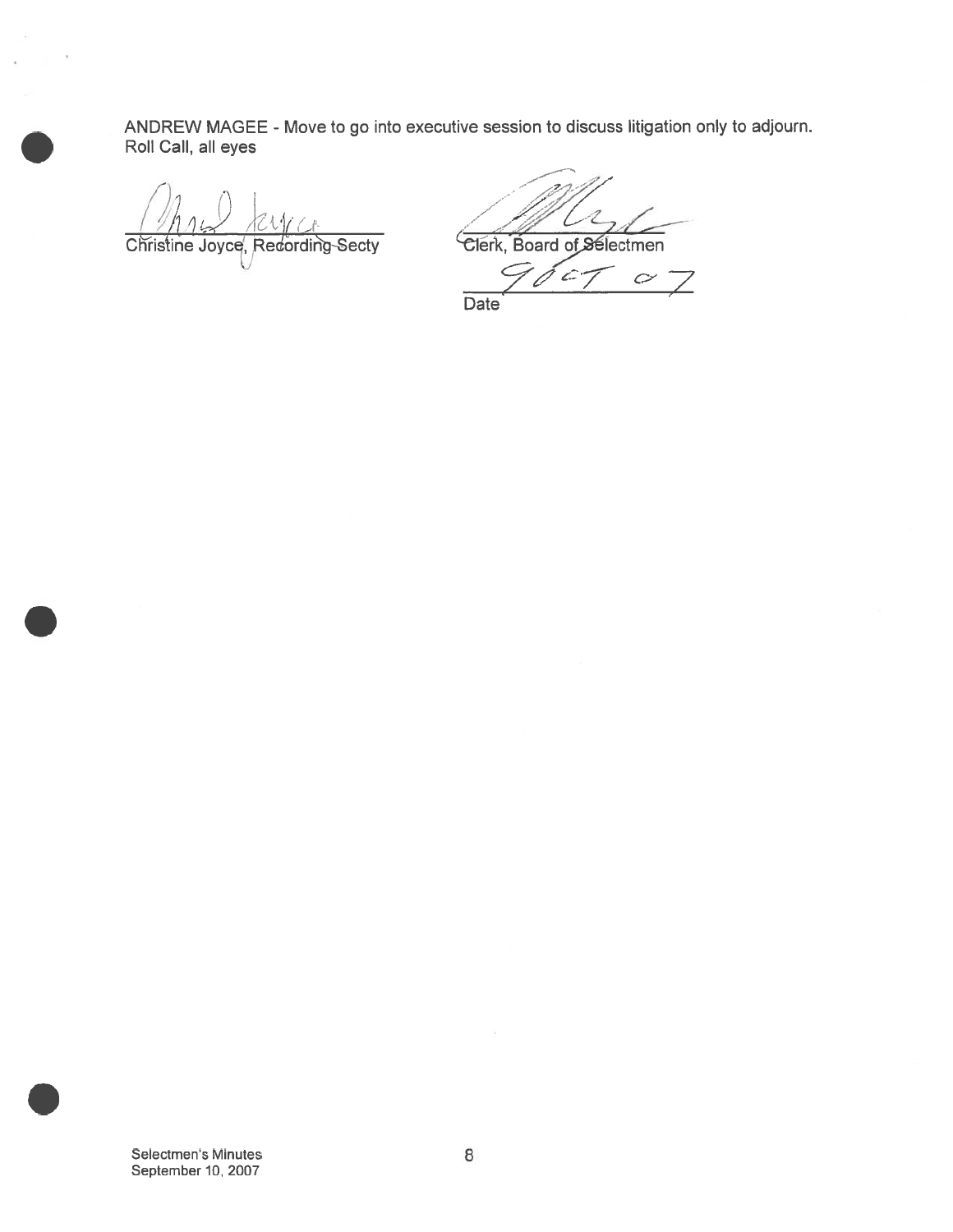ANDREW MAGEE - Move to go into executive session to discuss litigation only to adjourn. Roll Call, all eyes

 $/$  ,

Christine Joyce, Redording Secty Clerk, Board of Selectmen

L

 $\mathcal{L}$  $\mathcal{C}$ Date

Selectmen's Minutes 8 September 10, 2007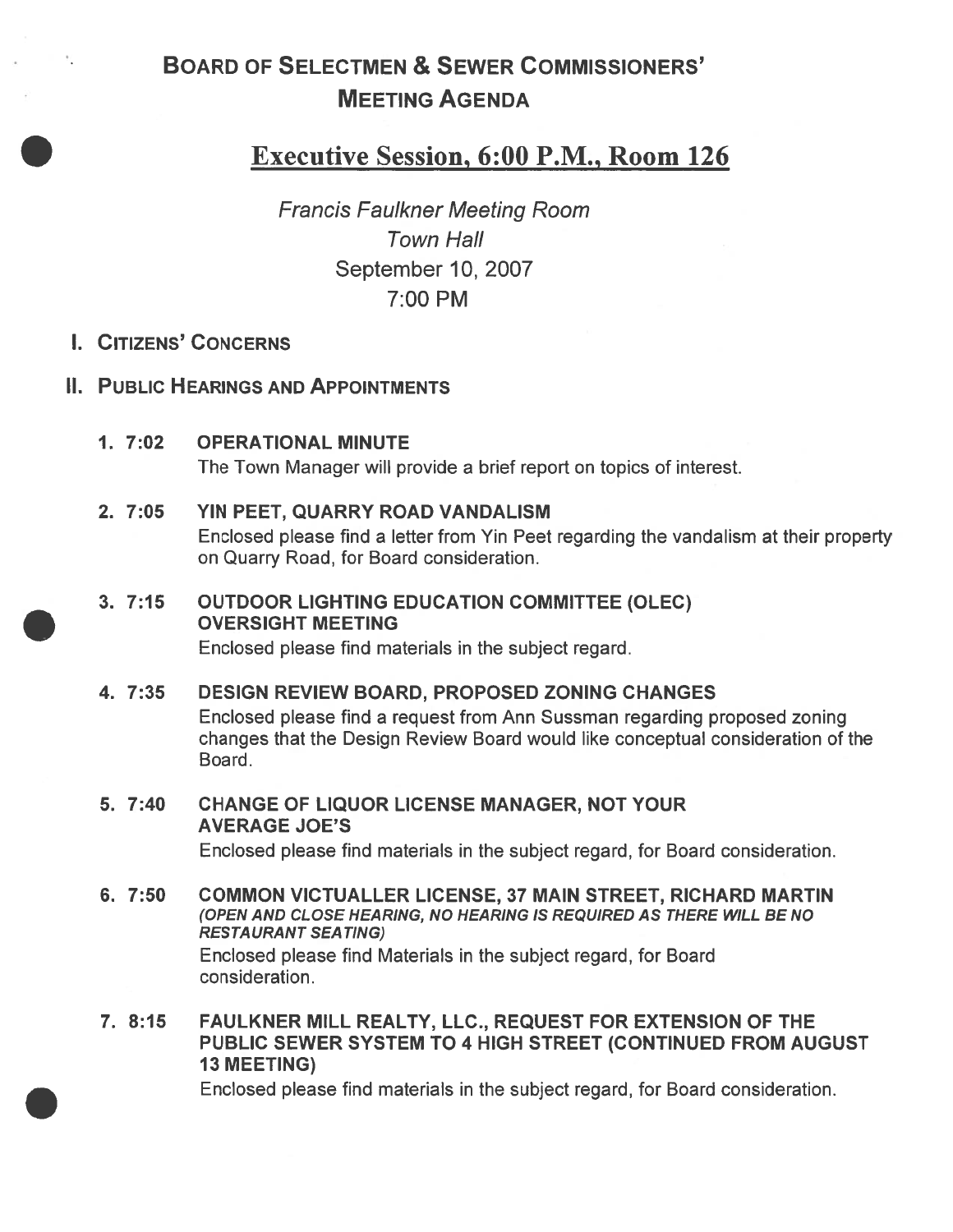# BOARD OF SELECTMEN & SEWER COMMISSIONERS' MEETING AGENDA

# Executive Session, 6:00 P.M., Room 126

Francis Faulkner Meeting Room Town Hall September 10, 2007 7:00 PM

# I. CITIZENS' CONCERNS

 $\gamma_{\rm c}$ 

# II. PUBLIC HEARINGS AND APPOINTMENTS

1. 7:02 OPERATIONAL MINUTE The Town Manager will provide <sup>a</sup> brief repor<sup>t</sup> on topics of interest.

### 2. 7:05 YIN PEET, QUARRY ROAD VANDALISM

Enclosed please find <sup>a</sup> letter from Yin Peet regarding the vandalism at their property on Quarry Road, for Board consideration.

# 3. 7:15 OUTDOOR LIGHTING EDUCATION COMMITTEE (OLEC) OVERSIGHT MEETING

Enclosed please find materials in the subject regard.

### 4. 7:35 DESIGN REVIEW BOARD, PROPOSED ZONING CHANGES

Enclosed please find <sup>a</sup> reques<sup>t</sup> from Ann Sussman regarding proposed zoning changes that the Design Review Board would like conceptual consideration of the Board.

5. 7:40 CHANGE OF LIQUOR LICENSE MANAGER, NOT YOUR AVERAGE JOE'S

Enclosed please find materials in the subject regard, for Board consideration.

- 6. 7:50 COMMON VICTUALLER LICENSE, 37 MAIN STREET, RICHARD MARTIN (OPEN AND CLOSE HEARING, NO HEARING IS REQUIRED AS THERE WILL BE NO RESTAURANT SEA TING) Enclosed please find Materials in the subject regard, for Board consideration.
- 7. 8:15 FAULKNER MILL REALTY, LLC., REQUEST FOR EXTENSION OF THE PUBLIC SEWER SYSTEM TO 4 HIGH STREET (CONTINUED FROM AUGUST 13 MEETING)

Enclosed please find materials in the subject regard, for Board consideration.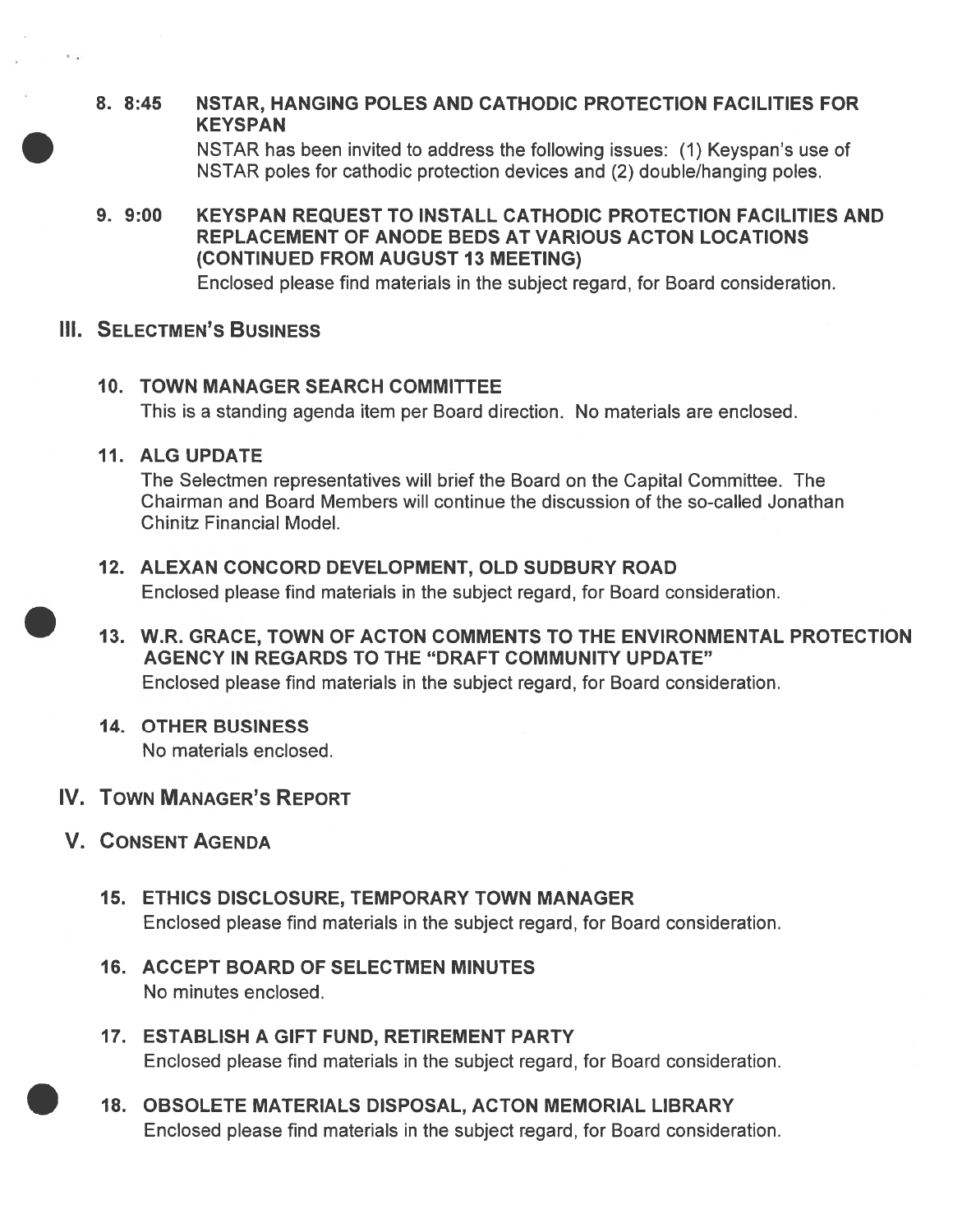# 8. 8:45 NSTAR, HANGING POLES AND CATHODIC PROTECTION FACILITIES FOR **KEYSPAN**

NSTAR has been invited to address the following issues: (1) Keyspan's use of NSTAR poles for cathodic protection devices and (2) double/hanging poles.

9. 9:00 KEYSPAN REQUEST TO INSTALL CATHODIC PROTECTION FACILITIES AND REPLACEMENT OF ANODE BEDS AT VARIOUS ACTON LOCATIONS (CONTINUED FROM AUGUST 13 MEETING)

Enclosed please find materials in the subject regard, for Board consideration.

### **III. SELECTMEN'S BUSINESS**

10. TOWN MANAGER SEARCH COMMITTEE This is <sup>a</sup> standing agenda item per Board direction. No materials are enclosed.

# 11. ALG UPDATE

The Selectmen representatives will brief the Board on the Capital Committee. The Chairman and Board Members will continue the discussion of the so-called Jonathan Chinitz Financial Model.

- 12. ALEXAN CONCORD DEVELOPMENT, OLD SUDBURY ROAD Enclosed please find materials in the subject regard, for Board consideration.
- 13. W.R. GRACE, TOWN OF ACTON COMMENTS TO THE ENVIRONMENTAL PROTECTION AGENCY IN REGARDS TO THE "DRAFT COMMUNITY UPDATE" Enclosed please find materials in the subject regard, for Board consideration.

# 14. OTHER BUSINESS

No materials enclosed.

# IV. TOWN MANAGER'S REPORT

- V. CONSENT AGENDA
	- 15. ETHICS DISCLOSURE, TEMPORARY TOWN MANAGER Enclosed please find materials in the subject regard, for Board consideration.
	- 16. ACCEPT BOARD OF SELECTMEN MINUTES No minutes enclosed.
	- 17. ESTABLISH A GIFT FUND, RETIREMENT PARTY Enclosed please find materials in the subject regard, for Board consideration.
	- 18. OBSOLETE MATERIALS DISPOSAL, ACTON MEMORIAL LIBRARY Enclosed please find materials in the subject regard, for Board consideration.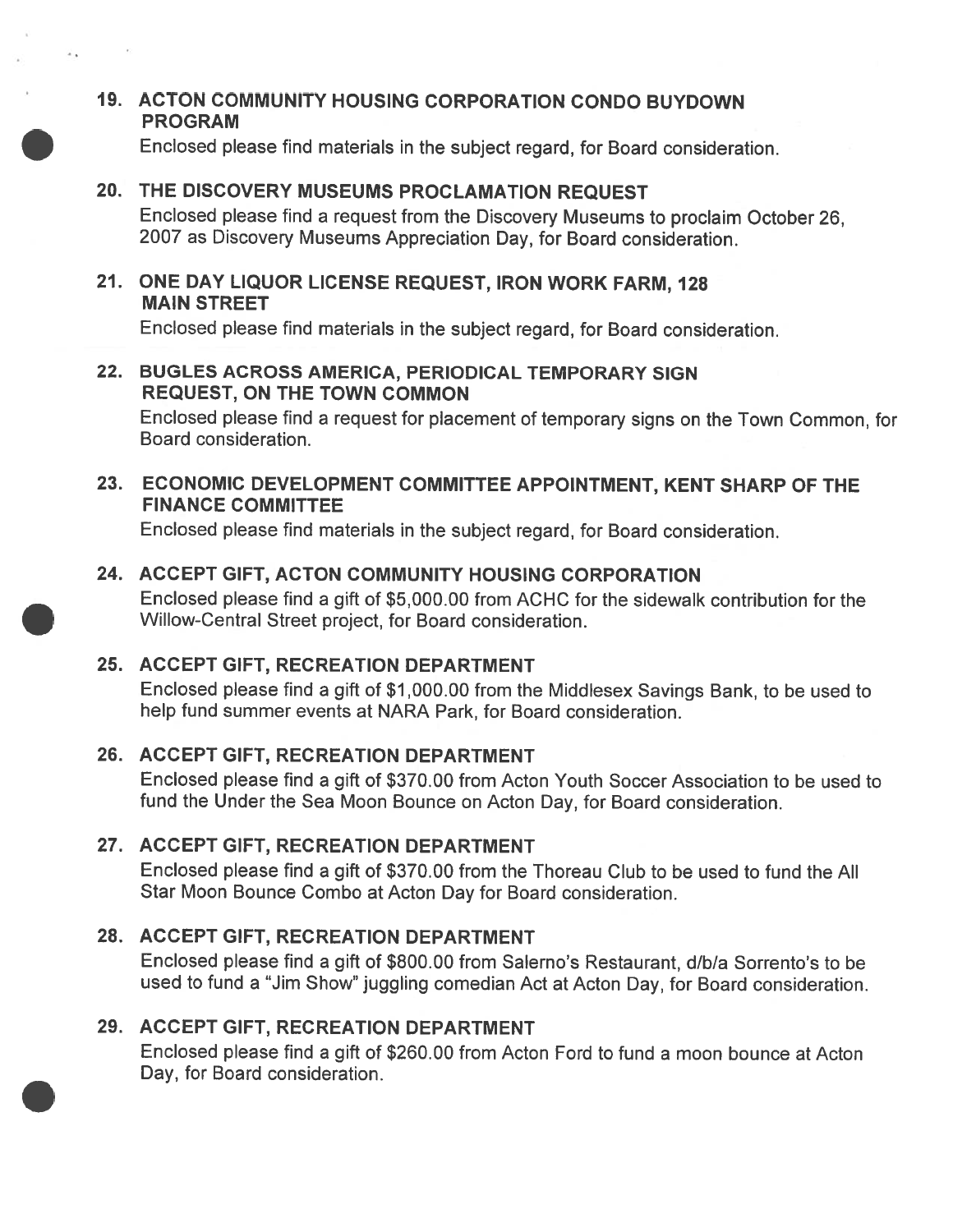# 19. ACTON COMMUNITY HOUSING CORPORATION CONDO BUYDOWN PROGRAM

Enclosed <sup>p</sup>lease find materials in the subject regard, for Board consideration.

# 20. THE DISCOVERY MUSEUMS PROCLAMATION REQUEST

 $\lambda$  .

Enclosed <sup>p</sup>lease find <sup>a</sup> reques<sup>t</sup> from the Discovery Museums to proclaim October 26, 2007 as Discovery Museums Appreciation Day, for Board consideration.

# 21. ONE DAY LIQUOR LICENSE REQUEST, IRON WORK FARM, 128 MAIN STREET

Enclosed <sup>p</sup>lease find materials in the subject regard, for Board consideration.

## 22. BUGLES ACROSS AMERICA, PERIODICAL TEMPORARY SIGN REQUEST, ON THE TOWN COMMON

Enclosed <sup>p</sup>lease find <sup>a</sup> reques<sup>t</sup> for <sup>p</sup>lacement of temporary signs on the Town Common, for Board consideration.

# 23. ECONOMIC DEVELOPMENT COMMITTEE APPOINTMENT, KENT SHARP OF THE FINANCE COMMITTEE

Enclosed <sup>p</sup>lease find materials in the subject regard, for Board consideration.

# 24. ACCEPT GIFT, ACTON COMMUNITY HOUSING CORPORATION

Enclosed please find <sup>a</sup> gift of \$5,000.00 from ACHC for the sidewalk contribution for the Willow-Central Street project, for Board consideration.

# 25. ACCEPT GIFT, RECREATION DEPARTMENT

Enclosed <sup>p</sup>lease find <sup>a</sup> <sup>g</sup>ift of \$1,000.00 from the Middlesex Savings Bank, to be used to help fund summer events at NARA Park, for Board consideration.

# 26. ACCEPT GIFT, RECREATION DEPARTMENT

Enclosed please find <sup>a</sup> gift of \$370.00 from Acton Youth Soccer Association to be used to fund the Under the Sea Moon Bounce on Acton Day, for Board consideration.

# 27. ACCEPT GIFT, RECREATION DEPARTMENT

Enclosed please find <sup>a</sup> gift of \$370.00 from the Thoreau Club to be used to fund the All Star Moon Bounce Combo at Acton Day for Board consideration.

# 28. ACCEPT GIFT, RECREATION DEPARTMENT

Enclosed please find <sup>a</sup> gift of \$800.00 from Salerno's Restaurant, dlbla Sorrento's to be used to fund <sup>a</sup> "Jim Show" juggling comedian Act at Acton Day, for Board consideration.

# 29. ACCEPT GIFT, RECREATION DEPARTMENT

Enclosed please find <sup>a</sup> gift of \$260.00 from Acton Ford to fund <sup>a</sup> moon bounce at Acton Day, for Board consideration.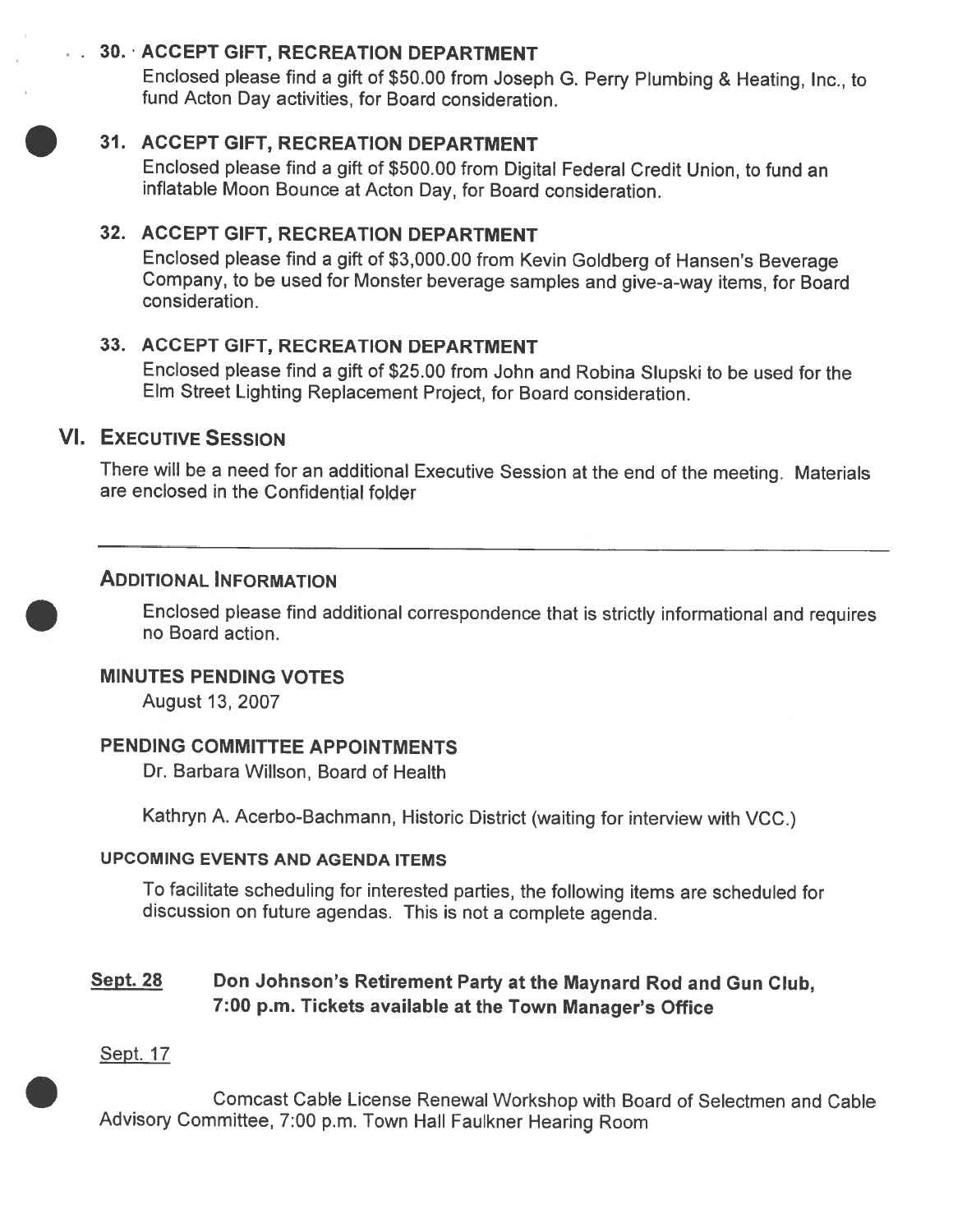# 30. ACCEPT GIFT, RECREATION DEPARTMENT

Enclosed <sup>p</sup>lease find <sup>a</sup> <sup>g</sup>ift of \$50.00 from Joseph G. Perry Plumbing & Heating, Inc., to fund Acton Day activities, for Board consideration.

# 31. ACCEPT GIFT, RECREATION DEPARTMENT

Enclosed <sup>p</sup>lease find <sup>a</sup> <sup>g</sup>ift of \$500.00 from Digital Federal Credit Union, to fund an inflatable Moon Bounce at Acton Day, for Board consideration.

# 32. ACCEPT GIFT, RECREATION DEPARTMENT

Enclosed <sup>p</sup>lease find <sup>a</sup> <sup>g</sup>ift of \$3,000.00 from Kevin Goldberg of Hansen's Beverage Company, to be used for Monster beverage samples and <sup>g</sup>ive-a-way items, for Board consideration.

# 33. ACCEPT GIFT, RECREATION DEPARTMENT

Enclosed <sup>p</sup>lease find <sup>a</sup> <sup>g</sup>ift of \$25.00 from John and Robina Slupski to be used for the Elm Street Lighting Replacement Project, for Board consideration.

# VI. EXECUTIVE SESSION

There will be <sup>a</sup> need for an additional Executive Session at the end of the meeting. Materials are enclosed in the Confidential folder

### ADDITIONAL INFORMATION

Enclosed <sup>p</sup>lease find additional correspondence that is strictly informational and requires no Board action.

### MINUTES PENDING VOTES

August 13, 2007

### PENDING COMMITTEE APPOINTMENTS

Dr. Barbara Willson, Board of Health

Kathryn A. Acerbo-Bachmann, Historic District (waiting for interview with VCC.)

### UPCOMING EVENTS AND AGENDA ITEMS

To facilitate scheduling for interested parties, the following items are scheduled for discussion on future agendas. This is not <sup>a</sup> complete agenda.

# Sept. 28 Don Johnson's Retirement Party at the Maynard Rod and Gun Club, 7:00 p.m. Tickets available at the Town Manager's Office

### Sept. 17

Comcast Cable License Renewal Workshop with Board of Selectmen and Cable Advisory Committee, 7:00 p.m. Town Hall Faulkner Hearing Room